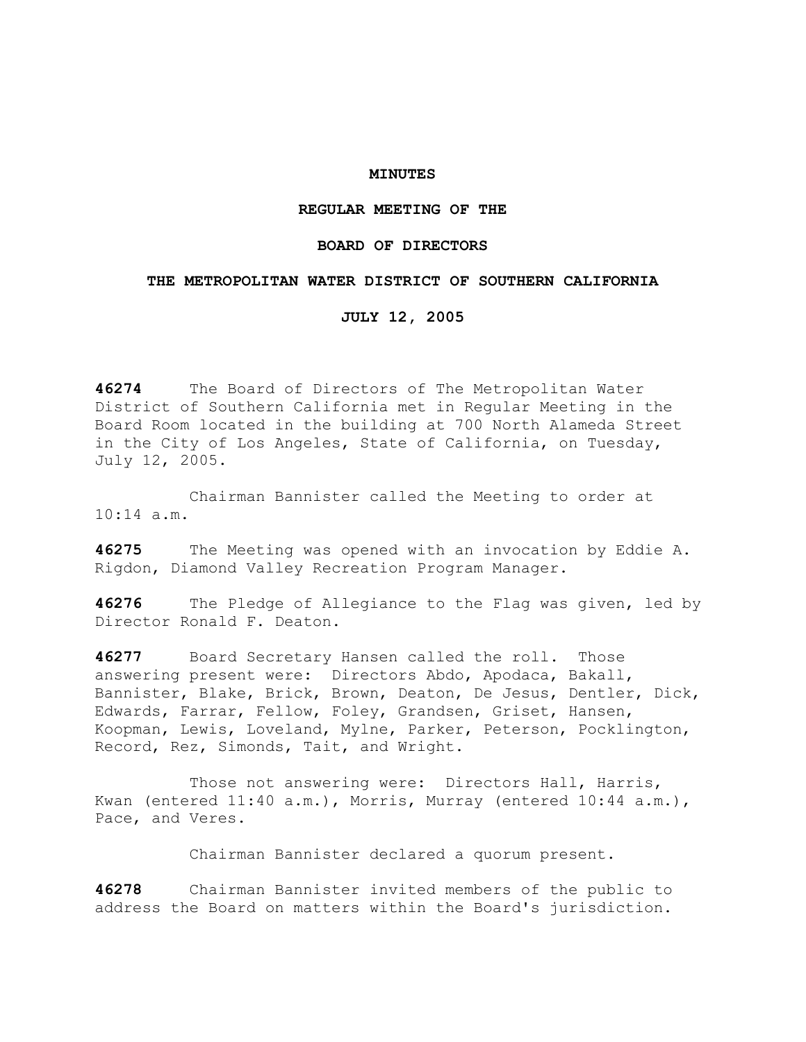## **MINUTES**

# **REGULAR MEETING OF THE**

## **BOARD OF DIRECTORS**

## **THE METROPOLITAN WATER DISTRICT OF SOUTHERN CALIFORNIA**

**JULY 12, 2005** 

**46274** The Board of Directors of The Metropolitan Water District of Southern California met in Regular Meeting in the Board Room located in the building at 700 North Alameda Street in the City of Los Angeles, State of California, on Tuesday, July 12, 2005.

 Chairman Bannister called the Meeting to order at 10:14 a.m.

**46275** The Meeting was opened with an invocation by Eddie A. Rigdon, Diamond Valley Recreation Program Manager.

**46276** The Pledge of Allegiance to the Flag was given, led by Director Ronald F. Deaton.

**46277** Board Secretary Hansen called the roll. Those answering present were: Directors Abdo, Apodaca, Bakall, Bannister, Blake, Brick, Brown, Deaton, De Jesus, Dentler, Dick, Edwards, Farrar, Fellow, Foley, Grandsen, Griset, Hansen, Koopman, Lewis, Loveland, Mylne, Parker, Peterson, Pocklington, Record, Rez, Simonds, Tait, and Wright.

Those not answering were: Directors Hall, Harris, Kwan (entered 11:40 a.m.), Morris, Murray (entered 10:44 a.m.), Pace, and Veres.

Chairman Bannister declared a quorum present.

**46278** Chairman Bannister invited members of the public to address the Board on matters within the Board's jurisdiction.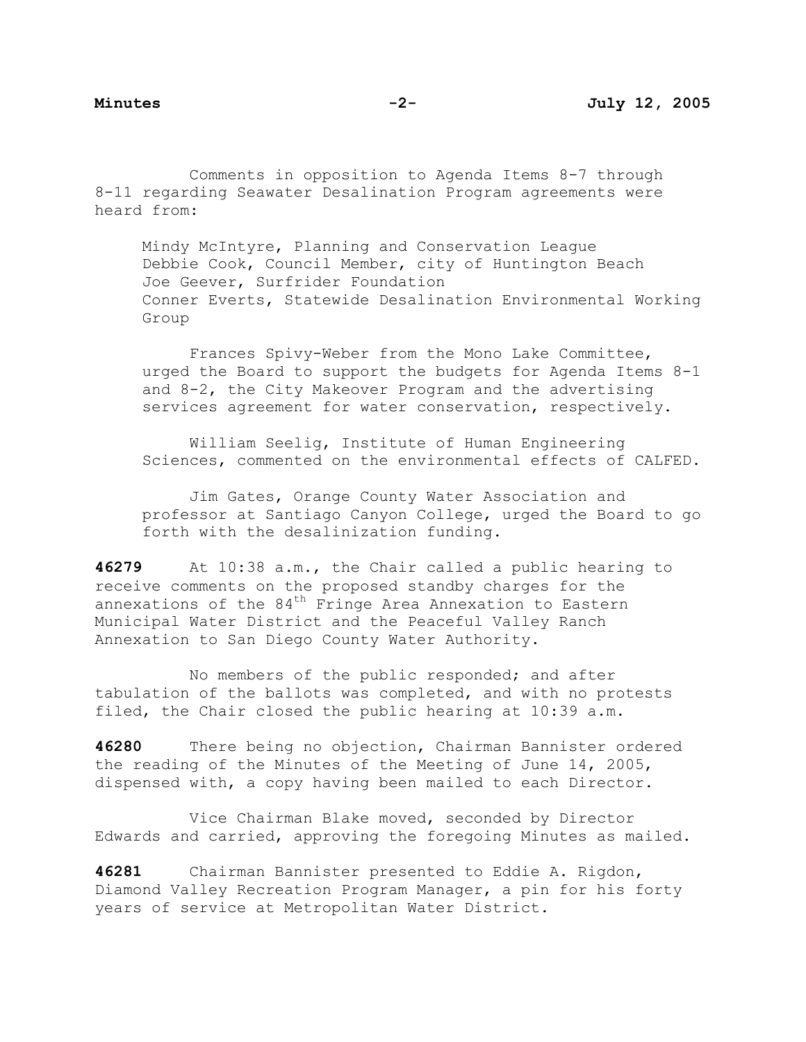Comments in opposition to Agenda Items 8-7 through 8-11 regarding Seawater Desalination Program agreements were heard from:

Mindy McIntyre, Planning and Conservation League Debbie Cook, Council Member, city of Huntington Beach Joe Geever, Surfrider Foundation Conner Everts, Statewide Desalination Environmental Working Group

 Frances Spivy-Weber from the Mono Lake Committee, urged the Board to support the budgets for Agenda Items 8-1 and 8-2, the City Makeover Program and the advertising services agreement for water conservation, respectively.

 William Seelig, Institute of Human Engineering Sciences, commented on the environmental effects of CALFED.

 Jim Gates, Orange County Water Association and professor at Santiago Canyon College, urged the Board to go forth with the desalinization funding.

**46279** At 10:38 a.m., the Chair called a public hearing to receive comments on the proposed standby charges for the annexations of the  $84<sup>th</sup>$  Fringe Area Annexation to Eastern Municipal Water District and the Peaceful Valley Ranch Annexation to San Diego County Water Authority.

 No members of the public responded; and after tabulation of the ballots was completed, and with no protests filed, the Chair closed the public hearing at 10:39 a.m.

**46280** There being no objection, Chairman Bannister ordered the reading of the Minutes of the Meeting of June 14, 2005, dispensed with, a copy having been mailed to each Director.

 Vice Chairman Blake moved, seconded by Director Edwards and carried, approving the foregoing Minutes as mailed.

**46281** Chairman Bannister presented to Eddie A. Rigdon, Diamond Valley Recreation Program Manager, a pin for his forty years of service at Metropolitan Water District.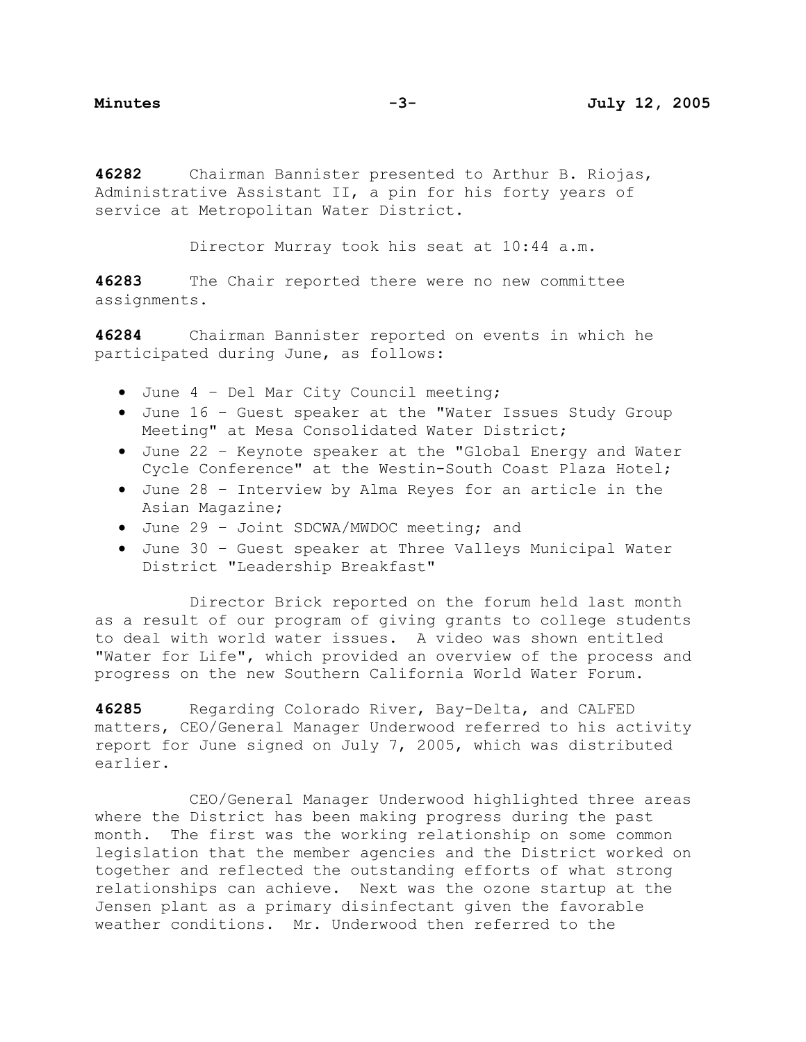**46282** Chairman Bannister presented to Arthur B. Riojas, Administrative Assistant II, a pin for his forty years of service at Metropolitan Water District.

Director Murray took his seat at 10:44 a.m.

**46283** The Chair reported there were no new committee assignments.

**46284** Chairman Bannister reported on events in which he participated during June, as follows:

- June 4 Del Mar City Council meeting;
- June 16 Guest speaker at the "Water Issues Study Group Meeting" at Mesa Consolidated Water District;
- June 22 Keynote speaker at the "Global Energy and Water Cycle Conference" at the Westin-South Coast Plaza Hotel;
- June 28 Interview by Alma Reyes for an article in the Asian Magazine;
- June 29 Joint SDCWA/MWDOC meeting; and
- June 30 Guest speaker at Three Valleys Municipal Water District "Leadership Breakfast"

Director Brick reported on the forum held last month as a result of our program of giving grants to college students to deal with world water issues. A video was shown entitled "Water for Life", which provided an overview of the process and progress on the new Southern California World Water Forum.

**46285** Regarding Colorado River, Bay-Delta, and CALFED matters, CEO/General Manager Underwood referred to his activity report for June signed on July 7, 2005, which was distributed earlier.

 CEO/General Manager Underwood highlighted three areas where the District has been making progress during the past month. The first was the working relationship on some common legislation that the member agencies and the District worked on together and reflected the outstanding efforts of what strong relationships can achieve. Next was the ozone startup at the Jensen plant as a primary disinfectant given the favorable weather conditions. Mr. Underwood then referred to the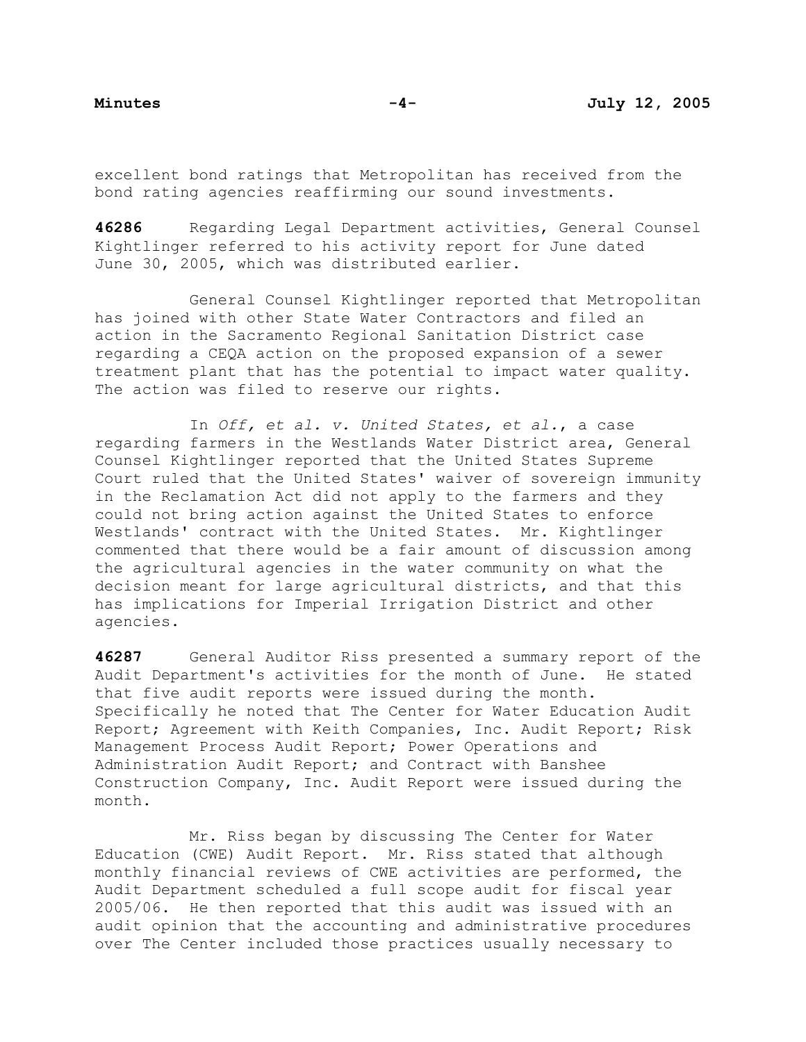excellent bond ratings that Metropolitan has received from the bond rating agencies reaffirming our sound investments.

**46286** Regarding Legal Department activities, General Counsel Kightlinger referred to his activity report for June dated June 30, 2005, which was distributed earlier.

 General Counsel Kightlinger reported that Metropolitan has joined with other State Water Contractors and filed an action in the Sacramento Regional Sanitation District case regarding a CEQA action on the proposed expansion of a sewer treatment plant that has the potential to impact water quality. The action was filed to reserve our rights.

 In *Off, et al. v. United States, et al.*, a case regarding farmers in the Westlands Water District area, General Counsel Kightlinger reported that the United States Supreme Court ruled that the United States' waiver of sovereign immunity in the Reclamation Act did not apply to the farmers and they could not bring action against the United States to enforce Westlands' contract with the United States. Mr. Kightlinger commented that there would be a fair amount of discussion among the agricultural agencies in the water community on what the decision meant for large agricultural districts, and that this has implications for Imperial Irrigation District and other agencies.

**46287** General Auditor Riss presented a summary report of the Audit Department's activities for the month of June. He stated that five audit reports were issued during the month. Specifically he noted that The Center for Water Education Audit Report; Agreement with Keith Companies, Inc. Audit Report; Risk Management Process Audit Report; Power Operations and Administration Audit Report; and Contract with Banshee Construction Company, Inc. Audit Report were issued during the month.

 Mr. Riss began by discussing The Center for Water Education (CWE) Audit Report. Mr. Riss stated that although monthly financial reviews of CWE activities are performed, the Audit Department scheduled a full scope audit for fiscal year 2005/06. He then reported that this audit was issued with an audit opinion that the accounting and administrative procedures over The Center included those practices usually necessary to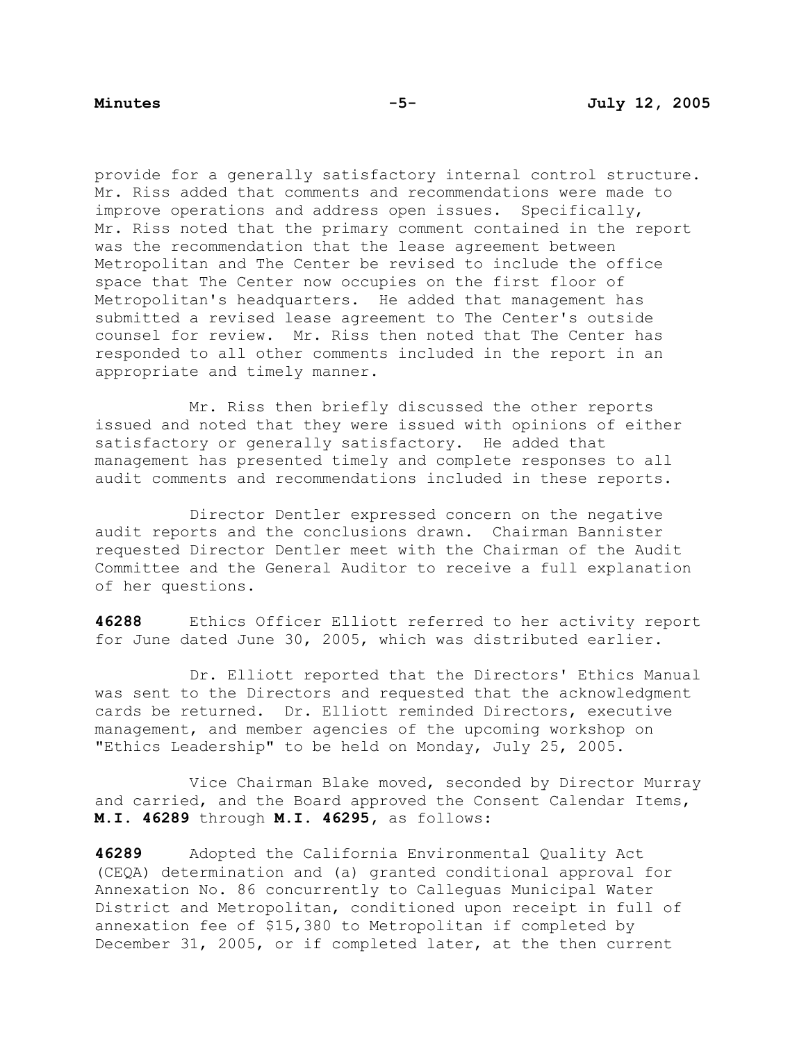provide for a generally satisfactory internal control structure. Mr. Riss added that comments and recommendations were made to improve operations and address open issues. Specifically, Mr. Riss noted that the primary comment contained in the report was the recommendation that the lease agreement between Metropolitan and The Center be revised to include the office space that The Center now occupies on the first floor of Metropolitan's headquarters. He added that management has submitted a revised lease agreement to The Center's outside counsel for review. Mr. Riss then noted that The Center has responded to all other comments included in the report in an appropriate and timely manner.

 Mr. Riss then briefly discussed the other reports issued and noted that they were issued with opinions of either satisfactory or generally satisfactory. He added that management has presented timely and complete responses to all audit comments and recommendations included in these reports.

 Director Dentler expressed concern on the negative audit reports and the conclusions drawn. Chairman Bannister requested Director Dentler meet with the Chairman of the Audit Committee and the General Auditor to receive a full explanation of her questions.

**46288** Ethics Officer Elliott referred to her activity report for June dated June 30, 2005, which was distributed earlier.

 Dr. Elliott reported that the Directors' Ethics Manual was sent to the Directors and requested that the acknowledgment cards be returned. Dr. Elliott reminded Directors, executive management, and member agencies of the upcoming workshop on "Ethics Leadership" to be held on Monday, July 25, 2005.

 Vice Chairman Blake moved, seconded by Director Murray and carried, and the Board approved the Consent Calendar Items, **M.I. 46289** through **M.I. 46295,** as follows:

**46289** Adopted the California Environmental Quality Act (CEQA) determination and (a) granted conditional approval for Annexation No. 86 concurrently to Calleguas Municipal Water District and Metropolitan, conditioned upon receipt in full of annexation fee of \$15,380 to Metropolitan if completed by December 31, 2005, or if completed later, at the then current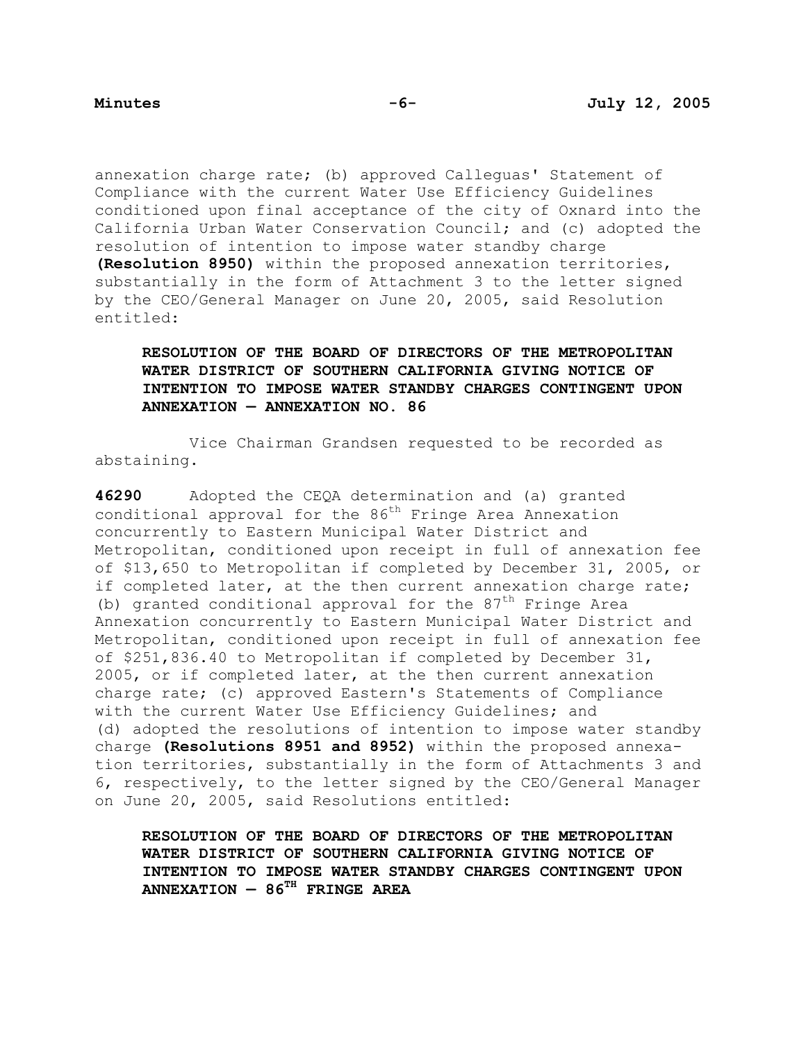annexation charge rate; (b) approved Calleguas' Statement of Compliance with the current Water Use Efficiency Guidelines conditioned upon final acceptance of the city of Oxnard into the California Urban Water Conservation Council; and (c) adopted the resolution of intention to impose water standby charge **(Resolution 8950)** within the proposed annexation territories, substantially in the form of Attachment 3 to the letter signed by the CEO/General Manager on June 20, 2005, said Resolution entitled:

# **RESOLUTION OF THE BOARD OF DIRECTORS OF THE METROPOLITAN WATER DISTRICT OF SOUTHERN CALIFORNIA GIVING NOTICE OF INTENTION TO IMPOSE WATER STANDBY CHARGES CONTINGENT UPON ANNEXATION — ANNEXATION NO. 86**

 Vice Chairman Grandsen requested to be recorded as abstaining.

**46290** Adopted the CEQA determination and (a) granted conditional approval for the  $86<sup>th</sup>$  Fringe Area Annexation concurrently to Eastern Municipal Water District and Metropolitan, conditioned upon receipt in full of annexation fee of \$13,650 to Metropolitan if completed by December 31, 2005, or if completed later, at the then current annexation charge rate; (b) granted conditional approval for the  $87<sup>th</sup>$  Fringe Area Annexation concurrently to Eastern Municipal Water District and Metropolitan, conditioned upon receipt in full of annexation fee of \$251,836.40 to Metropolitan if completed by December 31, 2005, or if completed later, at the then current annexation charge rate; (c) approved Eastern's Statements of Compliance with the current Water Use Efficiency Guidelines; and (d) adopted the resolutions of intention to impose water standby charge **(Resolutions 8951 and 8952)** within the proposed annexation territories, substantially in the form of Attachments 3 and 6, respectively, to the letter signed by the CEO/General Manager on June 20, 2005, said Resolutions entitled:

**RESOLUTION OF THE BOARD OF DIRECTORS OF THE METROPOLITAN WATER DISTRICT OF SOUTHERN CALIFORNIA GIVING NOTICE OF INTENTION TO IMPOSE WATER STANDBY CHARGES CONTINGENT UPON ANNEXATION — 86TH FRINGE AREA**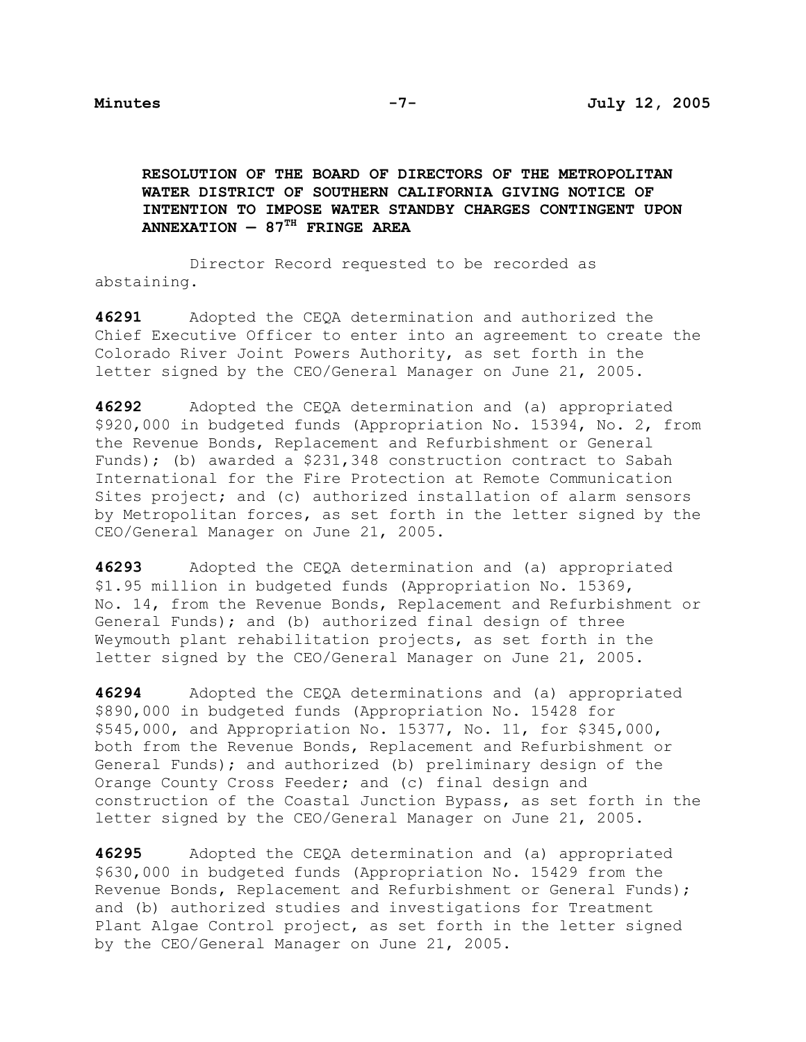**RESOLUTION OF THE BOARD OF DIRECTORS OF THE METROPOLITAN WATER DISTRICT OF SOUTHERN CALIFORNIA GIVING NOTICE OF INTENTION TO IMPOSE WATER STANDBY CHARGES CONTINGENT UPON ANNEXATION — 87TH FRINGE AREA** 

 Director Record requested to be recorded as abstaining.

**46291** Adopted the CEQA determination and authorized the Chief Executive Officer to enter into an agreement to create the Colorado River Joint Powers Authority, as set forth in the letter signed by the CEO/General Manager on June 21, 2005.

**46292** Adopted the CEQA determination and (a) appropriated \$920,000 in budgeted funds (Appropriation No. 15394, No. 2, from the Revenue Bonds, Replacement and Refurbishment or General Funds); (b) awarded a \$231,348 construction contract to Sabah International for the Fire Protection at Remote Communication Sites project; and (c) authorized installation of alarm sensors by Metropolitan forces, as set forth in the letter signed by the CEO/General Manager on June 21, 2005.

**46293** Adopted the CEQA determination and (a) appropriated \$1.95 million in budgeted funds (Appropriation No. 15369, No. 14, from the Revenue Bonds, Replacement and Refurbishment or General Funds); and (b) authorized final design of three Weymouth plant rehabilitation projects, as set forth in the letter signed by the CEO/General Manager on June 21, 2005.

**46294** Adopted the CEQA determinations and (a) appropriated \$890,000 in budgeted funds (Appropriation No. 15428 for \$545,000, and Appropriation No. 15377, No. 11, for \$345,000, both from the Revenue Bonds, Replacement and Refurbishment or General Funds); and authorized (b) preliminary design of the Orange County Cross Feeder; and (c) final design and construction of the Coastal Junction Bypass, as set forth in the letter signed by the CEO/General Manager on June 21, 2005.

**46295** Adopted the CEQA determination and (a) appropriated \$630,000 in budgeted funds (Appropriation No. 15429 from the Revenue Bonds, Replacement and Refurbishment or General Funds); and (b) authorized studies and investigations for Treatment Plant Algae Control project, as set forth in the letter signed by the CEO/General Manager on June 21, 2005.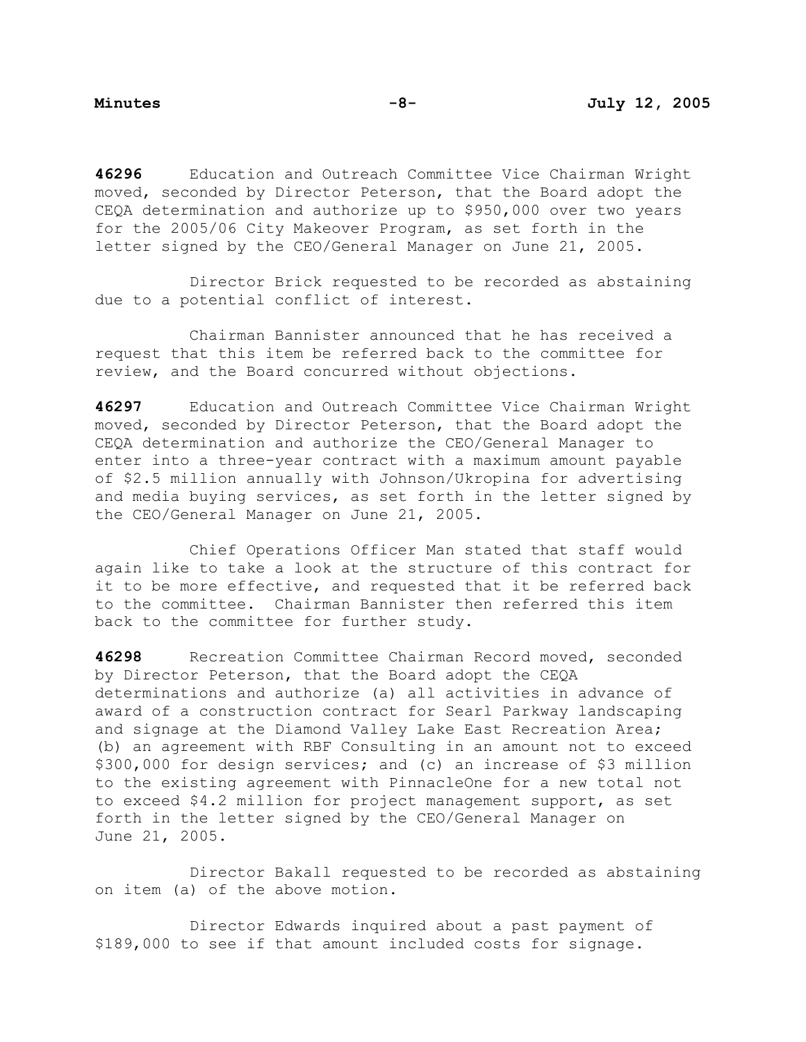**46296** Education and Outreach Committee Vice Chairman Wright moved, seconded by Director Peterson, that the Board adopt the CEQA determination and authorize up to \$950,000 over two years for the 2005/06 City Makeover Program, as set forth in the letter signed by the CEO/General Manager on June 21, 2005.

 Director Brick requested to be recorded as abstaining due to a potential conflict of interest.

 Chairman Bannister announced that he has received a request that this item be referred back to the committee for review, and the Board concurred without objections.

**46297** Education and Outreach Committee Vice Chairman Wright moved, seconded by Director Peterson, that the Board adopt the CEQA determination and authorize the CEO/General Manager to enter into a three-year contract with a maximum amount payable of \$2.5 million annually with Johnson/Ukropina for advertising and media buying services, as set forth in the letter signed by the CEO/General Manager on June 21, 2005.

 Chief Operations Officer Man stated that staff would again like to take a look at the structure of this contract for it to be more effective, and requested that it be referred back to the committee. Chairman Bannister then referred this item back to the committee for further study.

**46298** Recreation Committee Chairman Record moved, seconded by Director Peterson, that the Board adopt the CEQA determinations and authorize (a) all activities in advance of award of a construction contract for Searl Parkway landscaping and signage at the Diamond Valley Lake East Recreation Area; (b) an agreement with RBF Consulting in an amount not to exceed \$300,000 for design services; and (c) an increase of \$3 million to the existing agreement with PinnacleOne for a new total not to exceed \$4.2 million for project management support, as set forth in the letter signed by the CEO/General Manager on June 21, 2005.

 Director Bakall requested to be recorded as abstaining on item (a) of the above motion.

 Director Edwards inquired about a past payment of \$189,000 to see if that amount included costs for signage.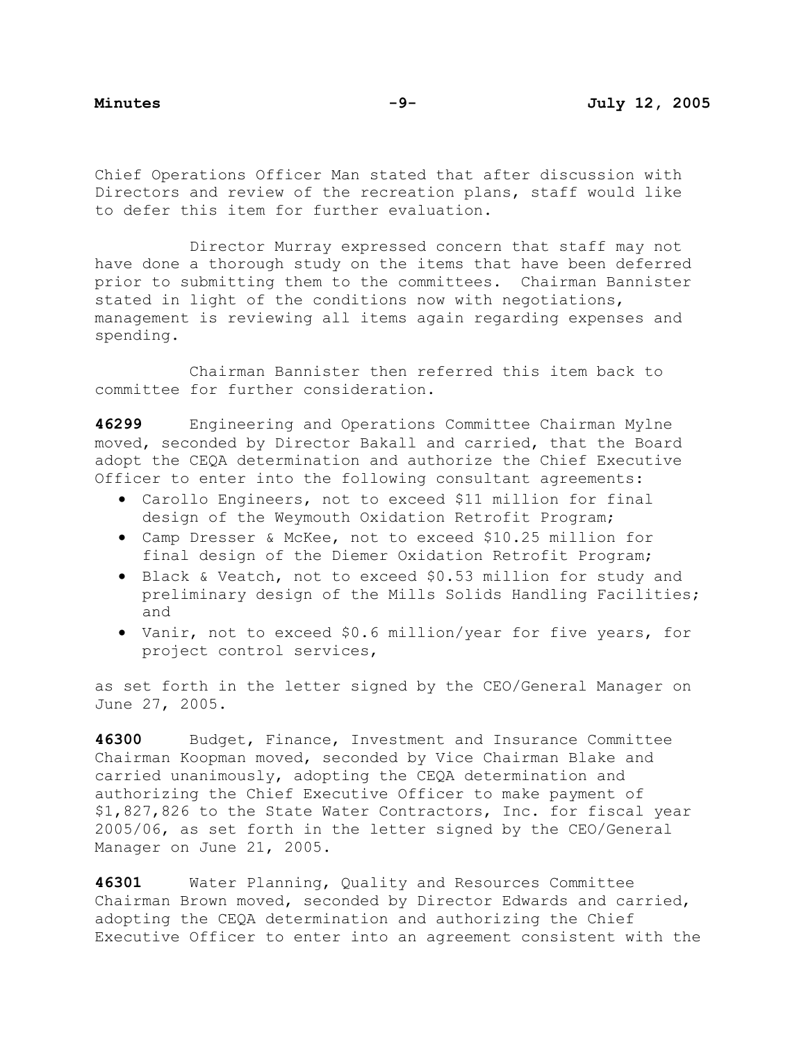Chief Operations Officer Man stated that after discussion with Directors and review of the recreation plans, staff would like to defer this item for further evaluation.

 Director Murray expressed concern that staff may not have done a thorough study on the items that have been deferred prior to submitting them to the committees. Chairman Bannister stated in light of the conditions now with negotiations, management is reviewing all items again regarding expenses and spending.

 Chairman Bannister then referred this item back to committee for further consideration.

**46299** Engineering and Operations Committee Chairman Mylne moved, seconded by Director Bakall and carried, that the Board adopt the CEQA determination and authorize the Chief Executive Officer to enter into the following consultant agreements:

- Carollo Engineers, not to exceed \$11 million for final design of the Weymouth Oxidation Retrofit Program;
- Camp Dresser & McKee, not to exceed \$10.25 million for final design of the Diemer Oxidation Retrofit Program;
- Black & Veatch, not to exceed \$0.53 million for study and preliminary design of the Mills Solids Handling Facilities; and
- Vanir, not to exceed \$0.6 million/year for five years, for project control services,

as set forth in the letter signed by the CEO/General Manager on June 27, 2005.

**46300** Budget, Finance, Investment and Insurance Committee Chairman Koopman moved, seconded by Vice Chairman Blake and carried unanimously, adopting the CEQA determination and authorizing the Chief Executive Officer to make payment of \$1,827,826 to the State Water Contractors, Inc. for fiscal year 2005/06, as set forth in the letter signed by the CEO/General Manager on June 21, 2005.

**46301** Water Planning, Quality and Resources Committee Chairman Brown moved, seconded by Director Edwards and carried, adopting the CEQA determination and authorizing the Chief Executive Officer to enter into an agreement consistent with the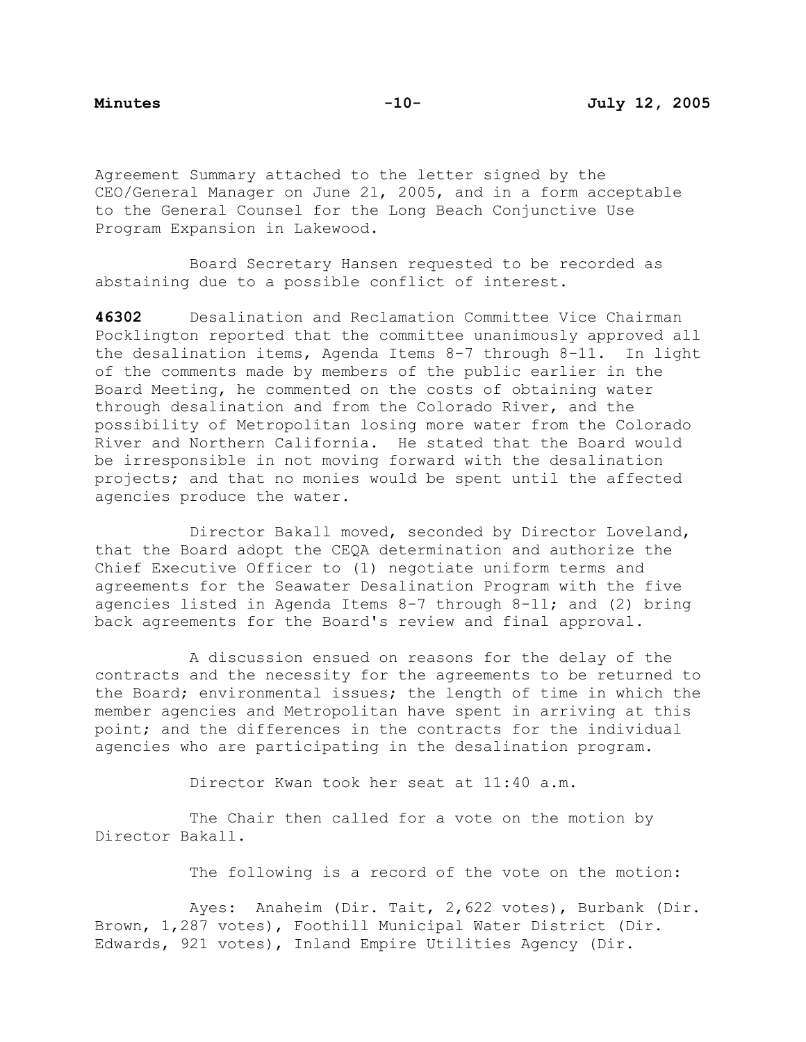Agreement Summary attached to the letter signed by the CEO/General Manager on June 21, 2005, and in a form acceptable to the General Counsel for the Long Beach Conjunctive Use Program Expansion in Lakewood.

 Board Secretary Hansen requested to be recorded as abstaining due to a possible conflict of interest.

**46302** Desalination and Reclamation Committee Vice Chairman Pocklington reported that the committee unanimously approved all the desalination items, Agenda Items 8-7 through 8-11. In light of the comments made by members of the public earlier in the Board Meeting, he commented on the costs of obtaining water through desalination and from the Colorado River, and the possibility of Metropolitan losing more water from the Colorado River and Northern California. He stated that the Board would be irresponsible in not moving forward with the desalination projects; and that no monies would be spent until the affected agencies produce the water.

 Director Bakall moved, seconded by Director Loveland, that the Board adopt the CEQA determination and authorize the Chief Executive Officer to (1) negotiate uniform terms and agreements for the Seawater Desalination Program with the five agencies listed in Agenda Items 8-7 through 8-11; and (2) bring back agreements for the Board's review and final approval.

 A discussion ensued on reasons for the delay of the contracts and the necessity for the agreements to be returned to the Board; environmental issues; the length of time in which the member agencies and Metropolitan have spent in arriving at this point; and the differences in the contracts for the individual agencies who are participating in the desalination program.

Director Kwan took her seat at 11:40 a.m.

The Chair then called for a vote on the motion by Director Bakall.

The following is a record of the vote on the motion:

 Ayes: Anaheim (Dir. Tait, 2,622 votes), Burbank (Dir. Brown, 1,287 votes), Foothill Municipal Water District (Dir. Edwards, 921 votes), Inland Empire Utilities Agency (Dir.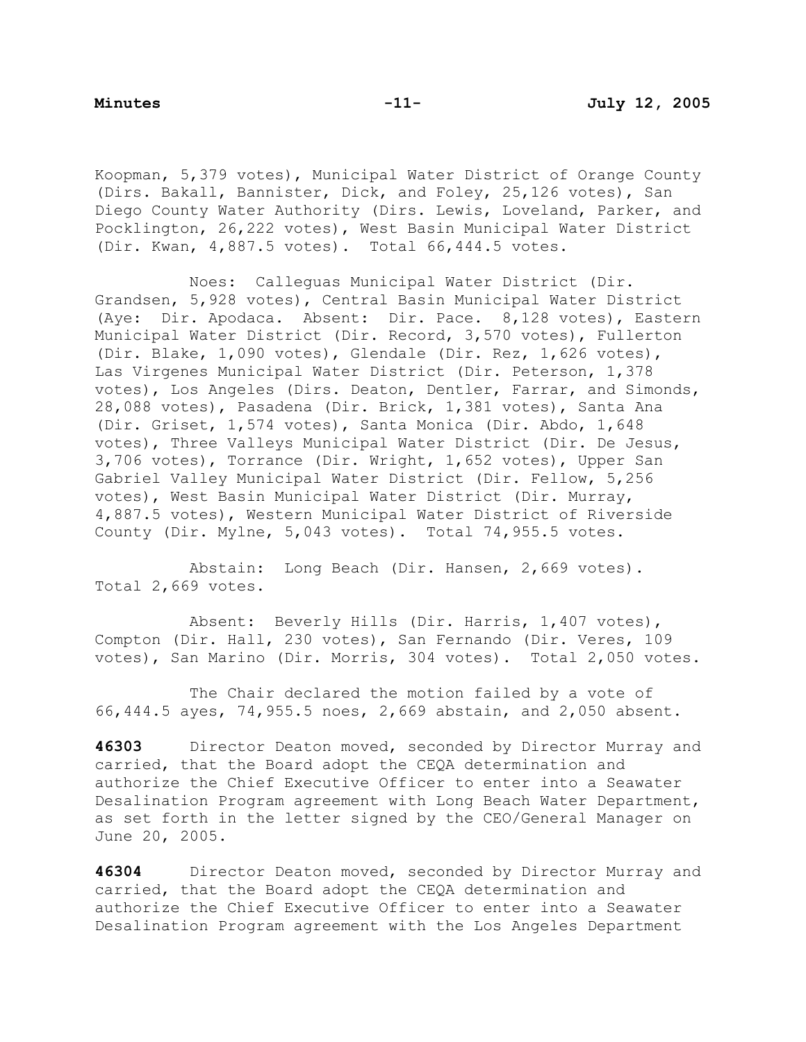Koopman, 5,379 votes), Municipal Water District of Orange County (Dirs. Bakall, Bannister, Dick, and Foley, 25,126 votes), San Diego County Water Authority (Dirs. Lewis, Loveland, Parker, and Pocklington, 26,222 votes), West Basin Municipal Water District (Dir. Kwan, 4,887.5 votes). Total 66,444.5 votes.

 Noes: Calleguas Municipal Water District (Dir. Grandsen, 5,928 votes), Central Basin Municipal Water District (Aye: Dir. Apodaca. Absent: Dir. Pace. 8,128 votes), Eastern Municipal Water District (Dir. Record, 3,570 votes), Fullerton (Dir. Blake, 1,090 votes), Glendale (Dir. Rez, 1,626 votes), Las Virgenes Municipal Water District (Dir. Peterson, 1,378 votes), Los Angeles (Dirs. Deaton, Dentler, Farrar, and Simonds, 28,088 votes), Pasadena (Dir. Brick, 1,381 votes), Santa Ana (Dir. Griset, 1,574 votes), Santa Monica (Dir. Abdo, 1,648 votes), Three Valleys Municipal Water District (Dir. De Jesus, 3,706 votes), Torrance (Dir. Wright, 1,652 votes), Upper San Gabriel Valley Municipal Water District (Dir. Fellow, 5,256 votes), West Basin Municipal Water District (Dir. Murray, 4,887.5 votes), Western Municipal Water District of Riverside County (Dir. Mylne, 5,043 votes). Total 74,955.5 votes.

 Abstain: Long Beach (Dir. Hansen, 2,669 votes). Total 2,669 votes.

 Absent: Beverly Hills (Dir. Harris, 1,407 votes), Compton (Dir. Hall, 230 votes), San Fernando (Dir. Veres, 109 votes), San Marino (Dir. Morris, 304 votes). Total 2,050 votes.

 The Chair declared the motion failed by a vote of 66,444.5 ayes, 74,955.5 noes, 2,669 abstain, and 2,050 absent.

**46303** Director Deaton moved, seconded by Director Murray and carried, that the Board adopt the CEQA determination and authorize the Chief Executive Officer to enter into a Seawater Desalination Program agreement with Long Beach Water Department, as set forth in the letter signed by the CEO/General Manager on June 20, 2005.

**46304** Director Deaton moved, seconded by Director Murray and carried, that the Board adopt the CEQA determination and authorize the Chief Executive Officer to enter into a Seawater Desalination Program agreement with the Los Angeles Department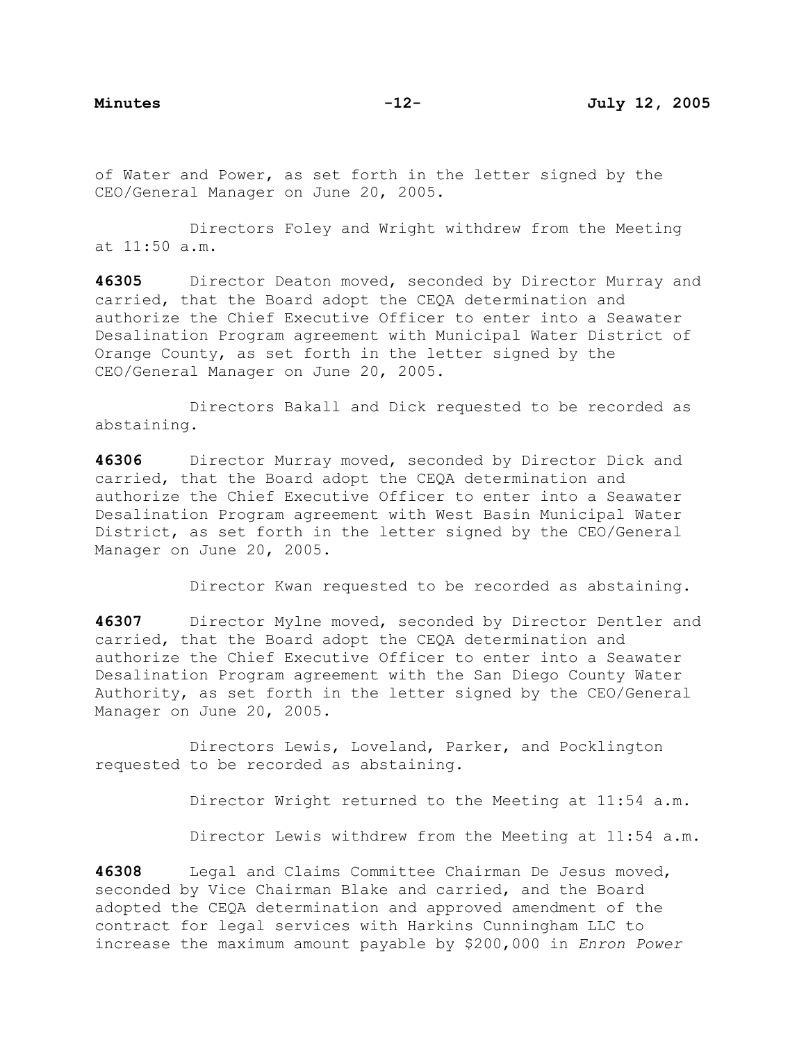of Water and Power, as set forth in the letter signed by the CEO/General Manager on June 20, 2005.

 Directors Foley and Wright withdrew from the Meeting at 11:50 a.m.

**46305** Director Deaton moved, seconded by Director Murray and carried, that the Board adopt the CEQA determination and authorize the Chief Executive Officer to enter into a Seawater Desalination Program agreement with Municipal Water District of Orange County, as set forth in the letter signed by the CEO/General Manager on June 20, 2005.

 Directors Bakall and Dick requested to be recorded as abstaining.

**46306** Director Murray moved, seconded by Director Dick and carried, that the Board adopt the CEQA determination and authorize the Chief Executive Officer to enter into a Seawater Desalination Program agreement with West Basin Municipal Water District, as set forth in the letter signed by the CEO/General Manager on June 20, 2005.

Director Kwan requested to be recorded as abstaining.

**46307** Director Mylne moved, seconded by Director Dentler and carried, that the Board adopt the CEQA determination and authorize the Chief Executive Officer to enter into a Seawater Desalination Program agreement with the San Diego County Water Authority, as set forth in the letter signed by the CEO/General Manager on June 20, 2005.

 Directors Lewis, Loveland, Parker, and Pocklington requested to be recorded as abstaining.

Director Wright returned to the Meeting at 11:54 a.m.

Director Lewis withdrew from the Meeting at 11:54 a.m.

**46308** Legal and Claims Committee Chairman De Jesus moved, seconded by Vice Chairman Blake and carried, and the Board adopted the CEQA determination and approved amendment of the contract for legal services with Harkins Cunningham LLC to increase the maximum amount payable by \$200,000 in *Enron Power*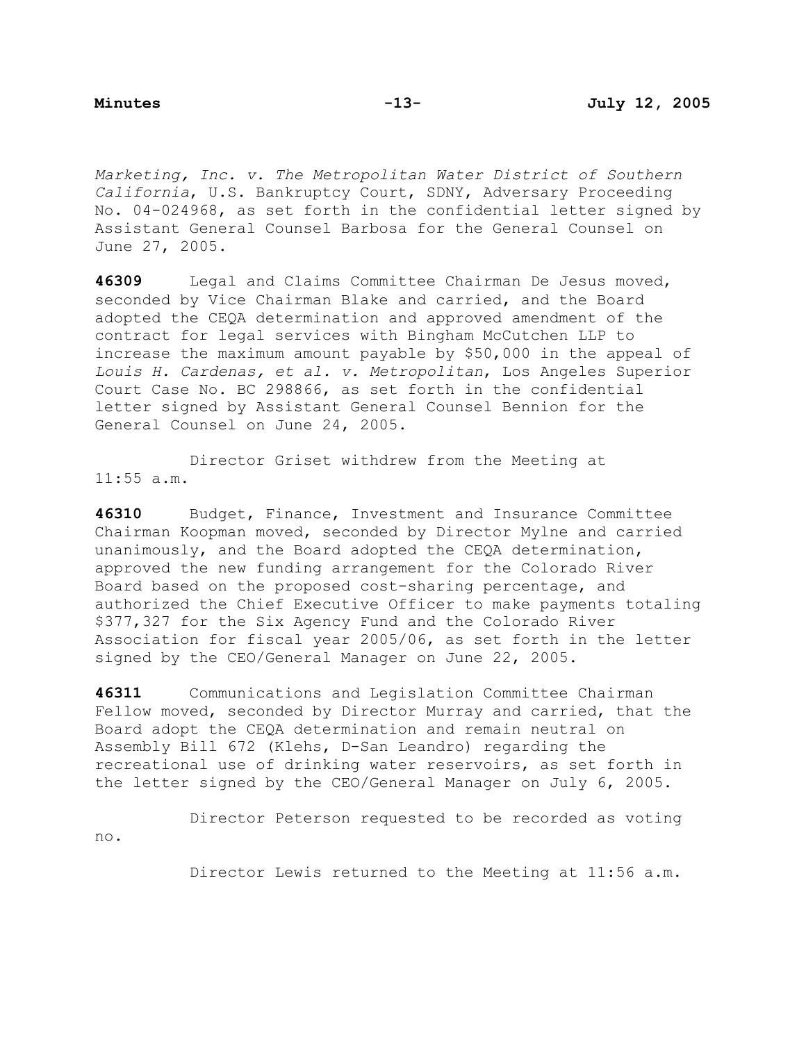*Marketing, Inc. v. The Metropolitan Water District of Southern California*, U.S. Bankruptcy Court, SDNY, Adversary Proceeding No. 04-024968, as set forth in the confidential letter signed by Assistant General Counsel Barbosa for the General Counsel on June 27, 2005.

**46309** Legal and Claims Committee Chairman De Jesus moved, seconded by Vice Chairman Blake and carried, and the Board adopted the CEQA determination and approved amendment of the contract for legal services with Bingham McCutchen LLP to increase the maximum amount payable by \$50,000 in the appeal of *Louis H. Cardenas, et al. v. Metropolitan*, Los Angeles Superior Court Case No. BC 298866, as set forth in the confidential letter signed by Assistant General Counsel Bennion for the General Counsel on June 24, 2005.

 Director Griset withdrew from the Meeting at 11:55 a.m.

**46310** Budget, Finance, Investment and Insurance Committee Chairman Koopman moved, seconded by Director Mylne and carried unanimously, and the Board adopted the CEQA determination, approved the new funding arrangement for the Colorado River Board based on the proposed cost-sharing percentage, and authorized the Chief Executive Officer to make payments totaling \$377,327 for the Six Agency Fund and the Colorado River Association for fiscal year 2005/06, as set forth in the letter signed by the CEO/General Manager on June 22, 2005.

**46311** Communications and Legislation Committee Chairman Fellow moved, seconded by Director Murray and carried, that the Board adopt the CEQA determination and remain neutral on Assembly Bill 672 (Klehs, D-San Leandro) regarding the recreational use of drinking water reservoirs, as set forth in the letter signed by the CEO/General Manager on July 6, 2005.

 Director Peterson requested to be recorded as voting no.

Director Lewis returned to the Meeting at 11:56 a.m.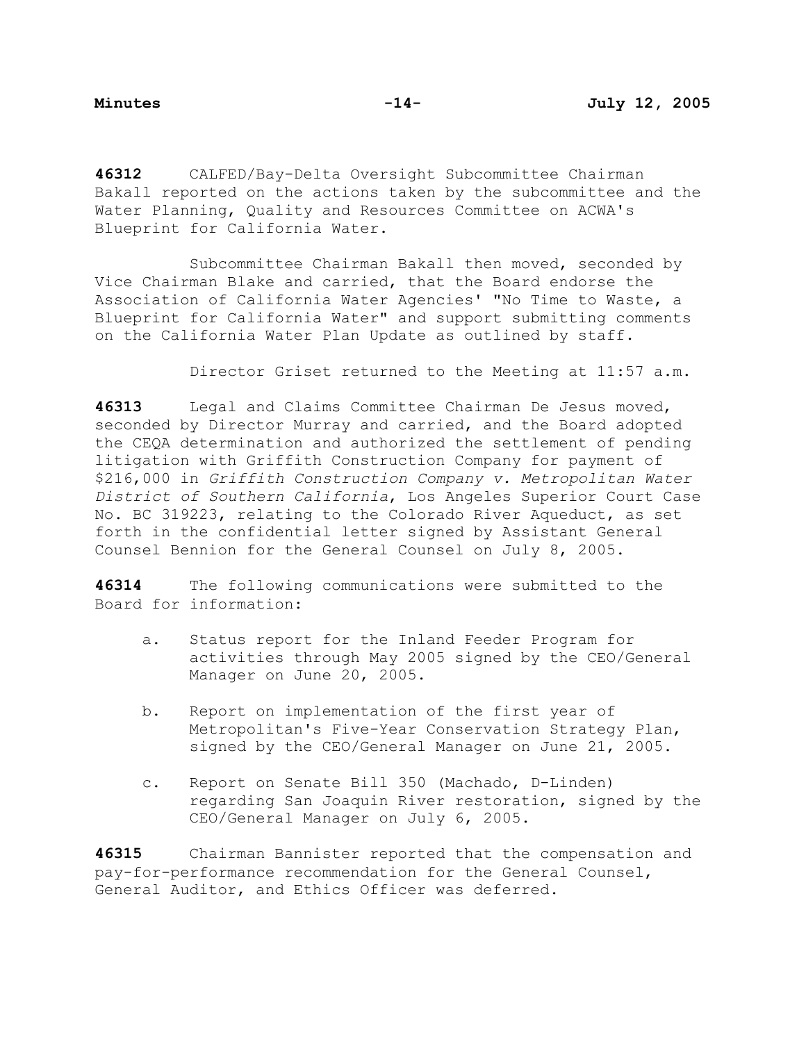**46312** CALFED/Bay-Delta Oversight Subcommittee Chairman Bakall reported on the actions taken by the subcommittee and the Water Planning, Quality and Resources Committee on ACWA's Blueprint for California Water.

Subcommittee Chairman Bakall then moved, seconded by Vice Chairman Blake and carried, that the Board endorse the Association of California Water Agencies' "No Time to Waste, a Blueprint for California Water" and support submitting comments on the California Water Plan Update as outlined by staff.

Director Griset returned to the Meeting at 11:57 a.m.

**46313** Legal and Claims Committee Chairman De Jesus moved, seconded by Director Murray and carried, and the Board adopted the CEQA determination and authorized the settlement of pending litigation with Griffith Construction Company for payment of \$216,000 in *Griffith Construction Company v. Metropolitan Water District of Southern California*, Los Angeles Superior Court Case No. BC 319223, relating to the Colorado River Aqueduct, as set forth in the confidential letter signed by Assistant General Counsel Bennion for the General Counsel on July 8, 2005.

**46314** The following communications were submitted to the Board for information:

- a. Status report for the Inland Feeder Program for activities through May 2005 signed by the CEO/General Manager on June 20, 2005.
- b. Report on implementation of the first year of Metropolitan's Five-Year Conservation Strategy Plan, signed by the CEO/General Manager on June 21, 2005.
- c. Report on Senate Bill 350 (Machado, D-Linden) regarding San Joaquin River restoration, signed by the CEO/General Manager on July 6, 2005.

**46315** Chairman Bannister reported that the compensation and pay-for-performance recommendation for the General Counsel, General Auditor, and Ethics Officer was deferred.